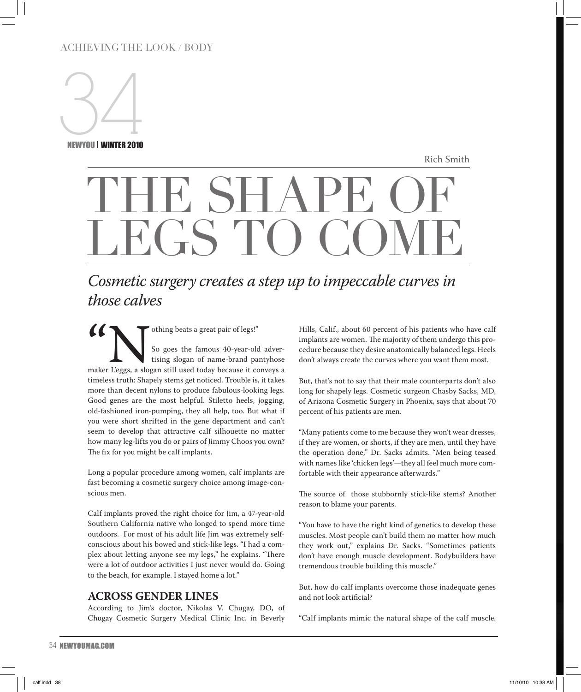## ACHIEVING THE LOOK / BODY



NEWYOU | WINTER 2010

Rich Smith

# THE SHAPE OF LEGS TO COME

## *Cosmetic surgery creates a step up to impeccable curves in those calves*

Thing beats a great pair of legs!"<br>So goes the famous 40-year-old<br>tising slogan of name-brand pa<br>maker Leggs, a slogan still used today because it co<br>timeless truth: Shapely stems get noticed. Trouble is So goes the famous 40-year-old advertising slogan of name-brand pantyhose maker L'eggs, a slogan still used today because it conveys a timeless truth: Shapely stems get noticed. Trouble is, it takes more than decent nylons to produce fabulous-looking legs. Good genes are the most helpful. Stiletto heels, jogging, old-fashioned iron-pumping, they all help, too. But what if you were short shrifted in the gene department and can't seem to develop that attractive calf silhouette no matter how many leg-lifts you do or pairs of Jimmy Choos you own? The fix for you might be calf implants.

Long a popular procedure among women, calf implants are fast becoming a cosmetic surgery choice among image-conscious men.

Calf implants proved the right choice for Jim, a 47-year-old Southern California native who longed to spend more time outdoors. For most of his adult life Jim was extremely selfconscious about his bowed and stick-like legs. "I had a complex about letting anyone see my legs," he explains. "There were a lot of outdoor activities I just never would do. Going to the beach, for example. I stayed home a lot."

## **Across Gender Lines**

According to Jim's doctor, Nikolas V. Chugay, DO, of Chugay Cosmetic Surgery Medical Clinic Inc. in Beverly Hills, Calif., about 60 percent of his patients who have calf implants are women. The majority of them undergo this procedure because they desire anatomically balanced legs. Heels don't always create the curves where you want them most.

But, that's not to say that their male counterparts don't also long for shapely legs. Cosmetic surgeon Chasby Sacks, MD, of Arizona Cosmetic Surgery in Phoenix, says that about 70 percent of his patients are men.

"Many patients come to me because they won't wear dresses, if they are women, or shorts, if they are men, until they have the operation done," Dr. Sacks admits. "Men being teased with names like 'chicken legs'—they all feel much more comfortable with their appearance afterwards."

The source of those stubbornly stick-like stems? Another reason to blame your parents.

"You have to have the right kind of genetics to develop these muscles. Most people can't build them no matter how much they work out," explains Dr. Sacks. "Sometimes patients don't have enough muscle development. Bodybuilders have tremendous trouble building this muscle."

But, how do calf implants overcome those inadequate genes and not look artificial?

"Calf implants mimic the natural shape of the calf muscle.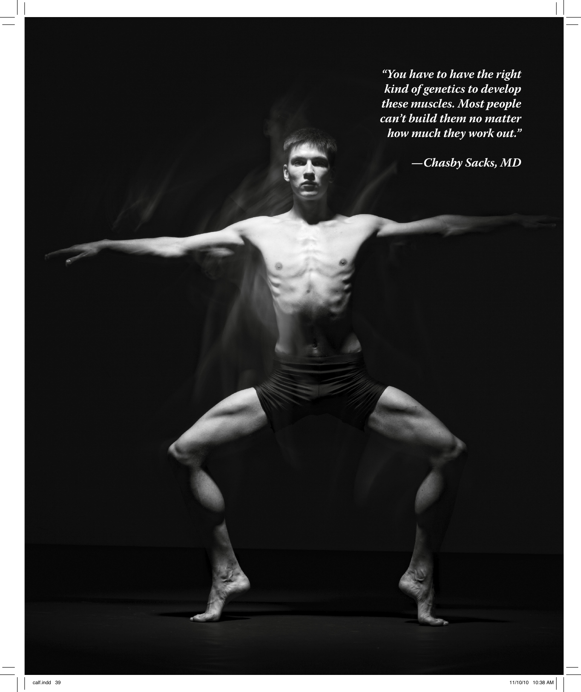N EWYOU FALL 2010 FACE *how much they work out."* have to have the r<br>of genetics to dev<br>muscles. Most pe<br>build them no ma<br>much they work o *"You have to have the right kind of genetics to develop these muscles. Most people can't build them no matter*

*—Chasby Sacks, MD*